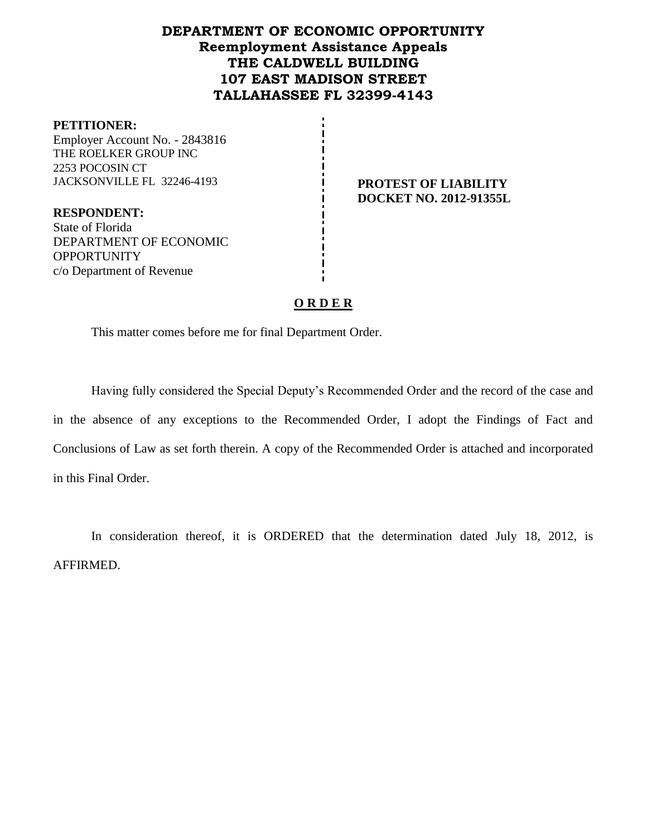# **DEPARTMENT OF ECONOMIC OPPORTUNITY Reemployment Assistance Appeals THE CALDWELL BUILDING 107 EAST MADISON STREET TALLAHASSEE FL 32399-4143**

#### **PETITIONER:**

Employer Account No. - 2843816 THE ROELKER GROUP INC 2253 POCOSIN CT JACKSONVILLE FL 32246-4193 **PROTEST OF LIABILITY**

**DOCKET NO. 2012-91355L**

**RESPONDENT:** State of Florida DEPARTMENT OF ECONOMIC **OPPORTUNITY** c/o Department of Revenue

## **O R D E R**

This matter comes before me for final Department Order.

Having fully considered the Special Deputy's Recommended Order and the record of the case and in the absence of any exceptions to the Recommended Order, I adopt the Findings of Fact and Conclusions of Law as set forth therein. A copy of the Recommended Order is attached and incorporated in this Final Order.

In consideration thereof, it is ORDERED that the determination dated July 18, 2012, is AFFIRMED.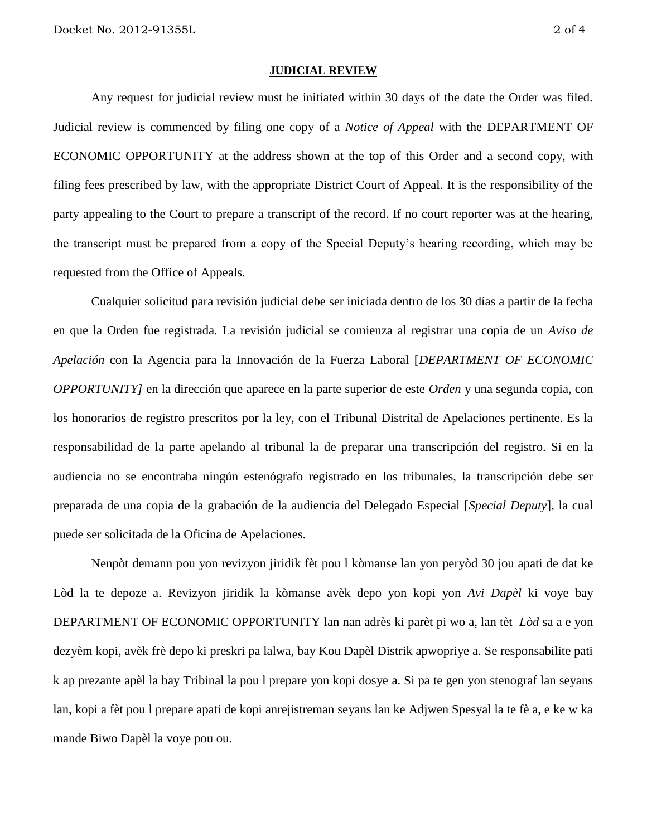#### **JUDICIAL REVIEW**

Any request for judicial review must be initiated within 30 days of the date the Order was filed. Judicial review is commenced by filing one copy of a *Notice of Appeal* with the DEPARTMENT OF ECONOMIC OPPORTUNITY at the address shown at the top of this Order and a second copy, with filing fees prescribed by law, with the appropriate District Court of Appeal. It is the responsibility of the party appealing to the Court to prepare a transcript of the record. If no court reporter was at the hearing, the transcript must be prepared from a copy of the Special Deputy's hearing recording, which may be requested from the Office of Appeals.

Cualquier solicitud para revisión judicial debe ser iniciada dentro de los 30 días a partir de la fecha en que la Orden fue registrada. La revisión judicial se comienza al registrar una copia de un *Aviso de Apelación* con la Agencia para la Innovación de la Fuerza Laboral [*DEPARTMENT OF ECONOMIC OPPORTUNITY]* en la dirección que aparece en la parte superior de este *Orden* y una segunda copia, con los honorarios de registro prescritos por la ley, con el Tribunal Distrital de Apelaciones pertinente. Es la responsabilidad de la parte apelando al tribunal la de preparar una transcripción del registro. Si en la audiencia no se encontraba ningún estenógrafo registrado en los tribunales, la transcripción debe ser preparada de una copia de la grabación de la audiencia del Delegado Especial [*Special Deputy*], la cual puede ser solicitada de la Oficina de Apelaciones.

Nenpòt demann pou yon revizyon jiridik fèt pou l kòmanse lan yon peryòd 30 jou apati de dat ke Lòd la te depoze a. Revizyon jiridik la kòmanse avèk depo yon kopi yon *Avi Dapèl* ki voye bay DEPARTMENT OF ECONOMIC OPPORTUNITY lan nan adrès ki parèt pi wo a, lan tèt *Lòd* sa a e yon dezyèm kopi, avèk frè depo ki preskri pa lalwa, bay Kou Dapèl Distrik apwopriye a. Se responsabilite pati k ap prezante apèl la bay Tribinal la pou l prepare yon kopi dosye a. Si pa te gen yon stenograf lan seyans lan, kopi a fèt pou l prepare apati de kopi anrejistreman seyans lan ke Adjwen Spesyal la te fè a, e ke w ka mande Biwo Dapèl la voye pou ou.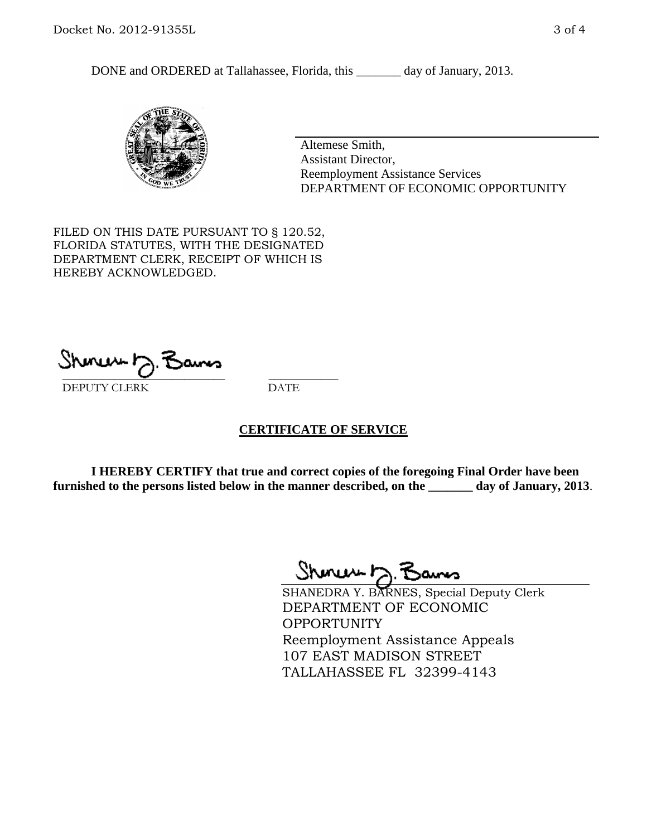DONE and ORDERED at Tallahassee, Florida, this \_\_\_\_\_\_\_ day of January, 2013.



Altemese Smith, Assistant Director, Reemployment Assistance Services DEPARTMENT OF ECONOMIC OPPORTUNITY

FILED ON THIS DATE PURSUANT TO § 120.52, FLORIDA STATUTES, WITH THE DESIGNATED DEPARTMENT CLERK, RECEIPT OF WHICH IS HEREBY ACKNOWLEDGED.

 $\overline{\phantom{a}}$  ,  $\overline{\phantom{a}}$  ,  $\overline{\phantom{a}}$  ,  $\overline{\phantom{a}}$  ,  $\overline{\phantom{a}}$  ,  $\overline{\phantom{a}}$  ,  $\overline{\phantom{a}}$  ,  $\overline{\phantom{a}}$ DEPUTY CLERK DATE

### **CERTIFICATE OF SERVICE**

**I HEREBY CERTIFY that true and correct copies of the foregoing Final Order have been furnished to the persons listed below in the manner described, on the \_\_\_\_\_\_\_ day of January, 2013**.

Shines to 7

SHANEDRA Y. BARNES, Special Deputy Clerk DEPARTMENT OF ECONOMIC **OPPORTUNITY** Reemployment Assistance Appeals 107 EAST MADISON STREET TALLAHASSEE FL 32399-4143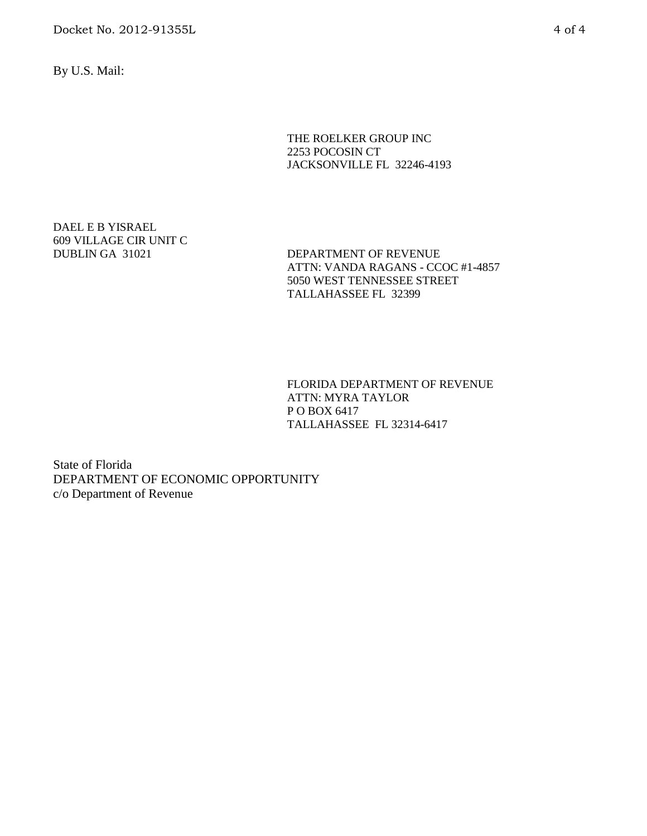Docket No. 2012-91355L 4 of 4

By U.S. Mail:

THE ROELKER GROUP INC 2253 POCOSIN CT JACKSONVILLE FL 32246-4193

DAEL E B YISRAEL 609 VILLAGE CIR UNIT C

DUBLIN GA 31021 DEPARTMENT OF REVENUE ATTN: VANDA RAGANS - CCOC #1-4857 5050 WEST TENNESSEE STREET TALLAHASSEE FL 32399

> FLORIDA DEPARTMENT OF REVENUE ATTN: MYRA TAYLOR P O BOX 6417 TALLAHASSEE FL 32314-6417

State of Florida DEPARTMENT OF ECONOMIC OPPORTUNITY c/o Department of Revenue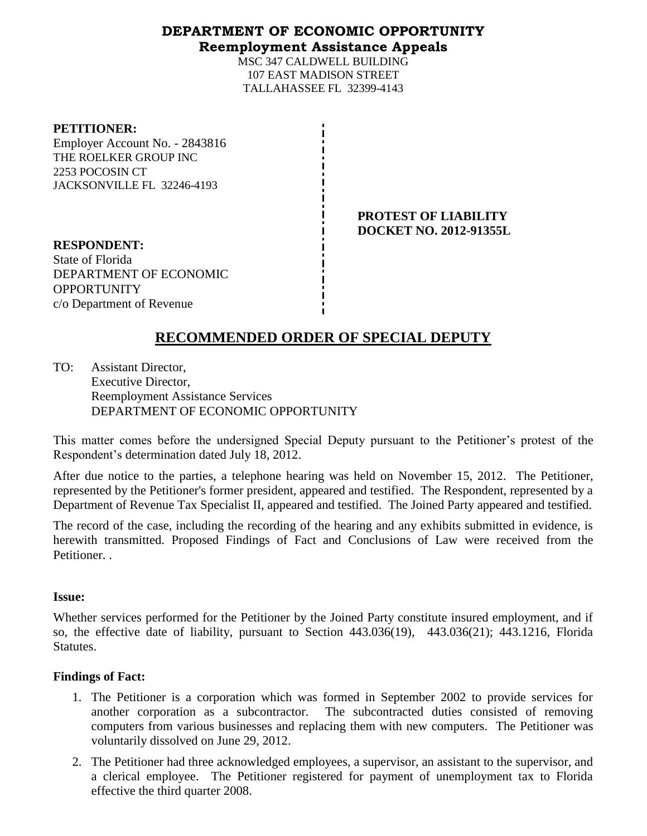### **DEPARTMENT OF ECONOMIC OPPORTUNITY Reemployment Assistance Appeals**

MSC 347 CALDWELL BUILDING 107 EAST MADISON STREET TALLAHASSEE FL 32399-4143

#### **PETITIONER:**

Employer Account No. - 2843816 THE ROELKER GROUP INC 2253 POCOSIN CT JACKSONVILLE FL 32246-4193

> **PROTEST OF LIABILITY DOCKET NO. 2012-91355L**

**RESPONDENT:** State of Florida DEPARTMENT OF ECONOMIC OPPORTUNITY c/o Department of Revenue

# **RECOMMENDED ORDER OF SPECIAL DEPUTY**

TO: Assistant Director, Executive Director, Reemployment Assistance Services DEPARTMENT OF ECONOMIC OPPORTUNITY

This matter comes before the undersigned Special Deputy pursuant to the Petitioner's protest of the Respondent's determination dated July 18, 2012.

After due notice to the parties, a telephone hearing was held on November 15, 2012. The Petitioner, represented by the Petitioner's former president, appeared and testified. The Respondent, represented by a Department of Revenue Tax Specialist II, appeared and testified. The Joined Party appeared and testified.

The record of the case, including the recording of the hearing and any exhibits submitted in evidence, is herewith transmitted. Proposed Findings of Fact and Conclusions of Law were received from the Petitioner. .

### **Issue:**

Whether services performed for the Petitioner by the Joined Party constitute insured employment, and if so, the effective date of liability, pursuant to Section 443.036(19), 443.036(21); 443.1216, Florida Statutes.

### **Findings of Fact:**

- 1. The Petitioner is a corporation which was formed in September 2002 to provide services for another corporation as a subcontractor. The subcontracted duties consisted of removing computers from various businesses and replacing them with new computers. The Petitioner was voluntarily dissolved on June 29, 2012.
- 2. The Petitioner had three acknowledged employees, a supervisor, an assistant to the supervisor, and a clerical employee. The Petitioner registered for payment of unemployment tax to Florida effective the third quarter 2008.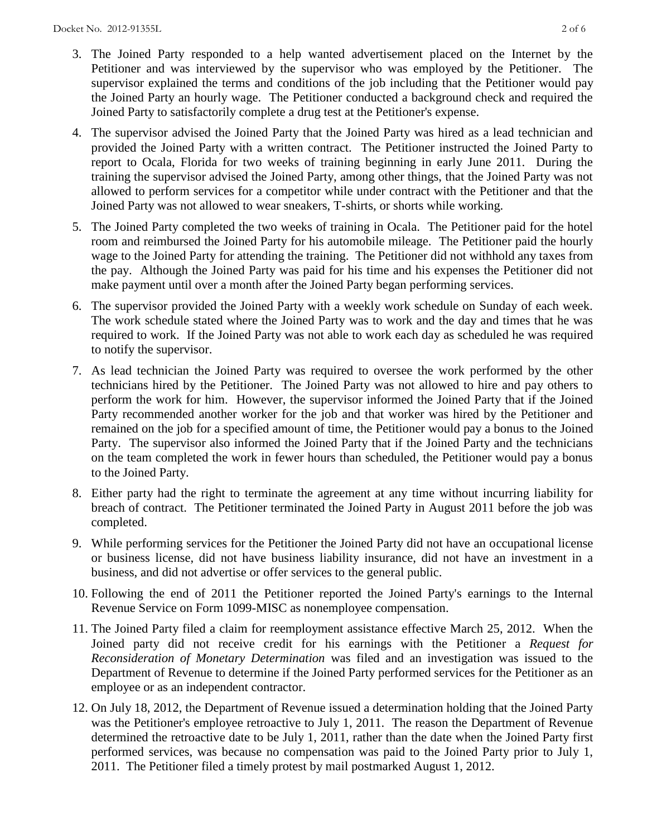- 3. The Joined Party responded to a help wanted advertisement placed on the Internet by the Petitioner and was interviewed by the supervisor who was employed by the Petitioner. The supervisor explained the terms and conditions of the job including that the Petitioner would pay the Joined Party an hourly wage. The Petitioner conducted a background check and required the Joined Party to satisfactorily complete a drug test at the Petitioner's expense.
- 4. The supervisor advised the Joined Party that the Joined Party was hired as a lead technician and provided the Joined Party with a written contract. The Petitioner instructed the Joined Party to report to Ocala, Florida for two weeks of training beginning in early June 2011. During the training the supervisor advised the Joined Party, among other things, that the Joined Party was not allowed to perform services for a competitor while under contract with the Petitioner and that the Joined Party was not allowed to wear sneakers, T-shirts, or shorts while working.
- 5. The Joined Party completed the two weeks of training in Ocala. The Petitioner paid for the hotel room and reimbursed the Joined Party for his automobile mileage. The Petitioner paid the hourly wage to the Joined Party for attending the training. The Petitioner did not withhold any taxes from the pay. Although the Joined Party was paid for his time and his expenses the Petitioner did not make payment until over a month after the Joined Party began performing services.
- 6. The supervisor provided the Joined Party with a weekly work schedule on Sunday of each week. The work schedule stated where the Joined Party was to work and the day and times that he was required to work. If the Joined Party was not able to work each day as scheduled he was required to notify the supervisor.
- 7. As lead technician the Joined Party was required to oversee the work performed by the other technicians hired by the Petitioner. The Joined Party was not allowed to hire and pay others to perform the work for him. However, the supervisor informed the Joined Party that if the Joined Party recommended another worker for the job and that worker was hired by the Petitioner and remained on the job for a specified amount of time, the Petitioner would pay a bonus to the Joined Party. The supervisor also informed the Joined Party that if the Joined Party and the technicians on the team completed the work in fewer hours than scheduled, the Petitioner would pay a bonus to the Joined Party.
- 8. Either party had the right to terminate the agreement at any time without incurring liability for breach of contract. The Petitioner terminated the Joined Party in August 2011 before the job was completed.
- 9. While performing services for the Petitioner the Joined Party did not have an occupational license or business license, did not have business liability insurance, did not have an investment in a business, and did not advertise or offer services to the general public.
- 10. Following the end of 2011 the Petitioner reported the Joined Party's earnings to the Internal Revenue Service on Form 1099-MISC as nonemployee compensation.
- 11. The Joined Party filed a claim for reemployment assistance effective March 25, 2012. When the Joined party did not receive credit for his earnings with the Petitioner a *Request for Reconsideration of Monetary Determination* was filed and an investigation was issued to the Department of Revenue to determine if the Joined Party performed services for the Petitioner as an employee or as an independent contractor.
- 12. On July 18, 2012, the Department of Revenue issued a determination holding that the Joined Party was the Petitioner's employee retroactive to July 1, 2011. The reason the Department of Revenue determined the retroactive date to be July 1, 2011, rather than the date when the Joined Party first performed services, was because no compensation was paid to the Joined Party prior to July 1, 2011. The Petitioner filed a timely protest by mail postmarked August 1, 2012.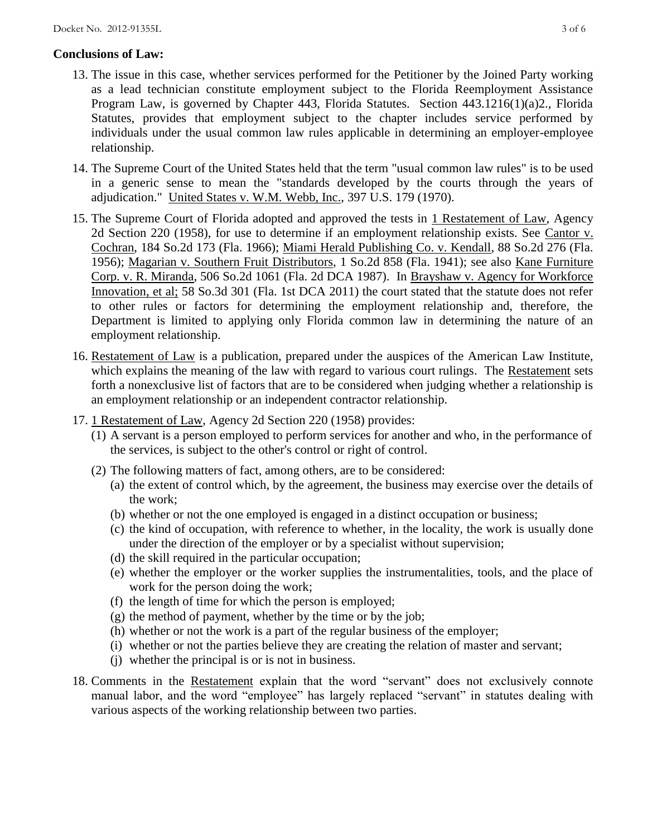### **Conclusions of Law:**

- 13. The issue in this case, whether services performed for the Petitioner by the Joined Party working as a lead technician constitute employment subject to the Florida Reemployment Assistance Program Law, is governed by Chapter 443, Florida Statutes. Section 443.1216(1)(a)2., Florida Statutes, provides that employment subject to the chapter includes service performed by individuals under the usual common law rules applicable in determining an employer-employee relationship.
- 14. The Supreme Court of the United States held that the term "usual common law rules" is to be used in a generic sense to mean the "standards developed by the courts through the years of adjudication." United States v. W.M. Webb, Inc., 397 U.S. 179 (1970).
- 15. The Supreme Court of Florida adopted and approved the tests in 1 Restatement of Law, Agency 2d Section 220 (1958), for use to determine if an employment relationship exists. See Cantor v. Cochran, 184 So.2d 173 (Fla. 1966); Miami Herald Publishing Co. v. Kendall, 88 So.2d 276 (Fla. 1956); Magarian v. Southern Fruit Distributors, 1 So.2d 858 (Fla. 1941); see also Kane Furniture Corp. v. R. Miranda, 506 So.2d 1061 (Fla. 2d DCA 1987). In Brayshaw v. Agency for Workforce Innovation, et al; 58 So.3d 301 (Fla. 1st DCA 2011) the court stated that the statute does not refer to other rules or factors for determining the employment relationship and, therefore, the Department is limited to applying only Florida common law in determining the nature of an employment relationship.
- 16. Restatement of Law is a publication, prepared under the auspices of the American Law Institute, which explains the meaning of the law with regard to various court rulings. The Restatement sets forth a nonexclusive list of factors that are to be considered when judging whether a relationship is an employment relationship or an independent contractor relationship.
- 17. 1 Restatement of Law, Agency 2d Section 220 (1958) provides:
	- (1) A servant is a person employed to perform services for another and who, in the performance of the services, is subject to the other's control or right of control.
	- (2) The following matters of fact, among others, are to be considered:
		- (a) the extent of control which, by the agreement, the business may exercise over the details of the work;
		- (b) whether or not the one employed is engaged in a distinct occupation or business;
		- (c) the kind of occupation, with reference to whether, in the locality, the work is usually done under the direction of the employer or by a specialist without supervision;
		- (d) the skill required in the particular occupation;
		- (e) whether the employer or the worker supplies the instrumentalities, tools, and the place of work for the person doing the work;
		- (f) the length of time for which the person is employed;
		- $(g)$  the method of payment, whether by the time or by the job;
		- (h) whether or not the work is a part of the regular business of the employer;
		- (i) whether or not the parties believe they are creating the relation of master and servant;
		- (j) whether the principal is or is not in business.
- 18. Comments in the Restatement explain that the word "servant" does not exclusively connote manual labor, and the word "employee" has largely replaced "servant" in statutes dealing with various aspects of the working relationship between two parties.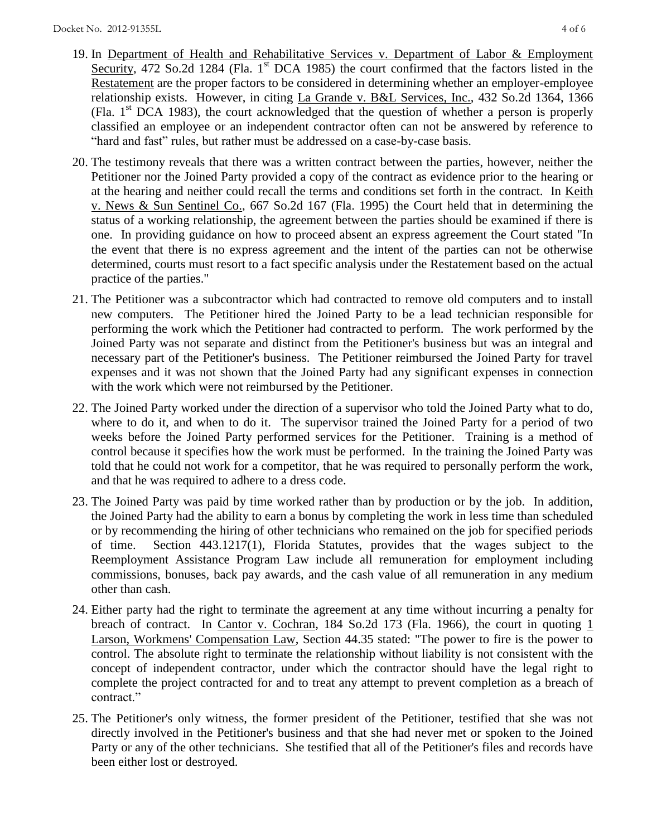- 19. In Department of Health and Rehabilitative Services v. Department of Labor & Employment Security, 472 So.2d 1284 (Fla. 1<sup>st</sup> DCA 1985) the court confirmed that the factors listed in the Restatement are the proper factors to be considered in determining whether an employer-employee relationship exists. However, in citing La Grande v. B&L Services, Inc., 432 So.2d 1364, 1366 (Fla.  $1<sup>st</sup> DCA$  1983), the court acknowledged that the question of whether a person is properly classified an employee or an independent contractor often can not be answered by reference to "hard and fast" rules, but rather must be addressed on a case-by-case basis.
- 20. The testimony reveals that there was a written contract between the parties, however, neither the Petitioner nor the Joined Party provided a copy of the contract as evidence prior to the hearing or at the hearing and neither could recall the terms and conditions set forth in the contract. In Keith v. News & Sun Sentinel Co., 667 So.2d 167 (Fla. 1995) the Court held that in determining the status of a working relationship, the agreement between the parties should be examined if there is one. In providing guidance on how to proceed absent an express agreement the Court stated "In the event that there is no express agreement and the intent of the parties can not be otherwise determined, courts must resort to a fact specific analysis under the Restatement based on the actual practice of the parties."
- 21. The Petitioner was a subcontractor which had contracted to remove old computers and to install new computers. The Petitioner hired the Joined Party to be a lead technician responsible for performing the work which the Petitioner had contracted to perform. The work performed by the Joined Party was not separate and distinct from the Petitioner's business but was an integral and necessary part of the Petitioner's business. The Petitioner reimbursed the Joined Party for travel expenses and it was not shown that the Joined Party had any significant expenses in connection with the work which were not reimbursed by the Petitioner.
- 22. The Joined Party worked under the direction of a supervisor who told the Joined Party what to do, where to do it, and when to do it. The supervisor trained the Joined Party for a period of two weeks before the Joined Party performed services for the Petitioner. Training is a method of control because it specifies how the work must be performed. In the training the Joined Party was told that he could not work for a competitor, that he was required to personally perform the work, and that he was required to adhere to a dress code.
- 23. The Joined Party was paid by time worked rather than by production or by the job. In addition, the Joined Party had the ability to earn a bonus by completing the work in less time than scheduled or by recommending the hiring of other technicians who remained on the job for specified periods of time. Section 443.1217(1), Florida Statutes, provides that the wages subject to the Reemployment Assistance Program Law include all remuneration for employment including commissions, bonuses, back pay awards, and the cash value of all remuneration in any medium other than cash.
- 24. Either party had the right to terminate the agreement at any time without incurring a penalty for breach of contract. In Cantor v. Cochran, 184 So.2d 173 (Fla. 1966), the court in quoting  $1$ Larson, Workmens' Compensation Law, Section 44.35 stated: "The power to fire is the power to control. The absolute right to terminate the relationship without liability is not consistent with the concept of independent contractor, under which the contractor should have the legal right to complete the project contracted for and to treat any attempt to prevent completion as a breach of contract."
- 25. The Petitioner's only witness, the former president of the Petitioner, testified that she was not directly involved in the Petitioner's business and that she had never met or spoken to the Joined Party or any of the other technicians. She testified that all of the Petitioner's files and records have been either lost or destroyed.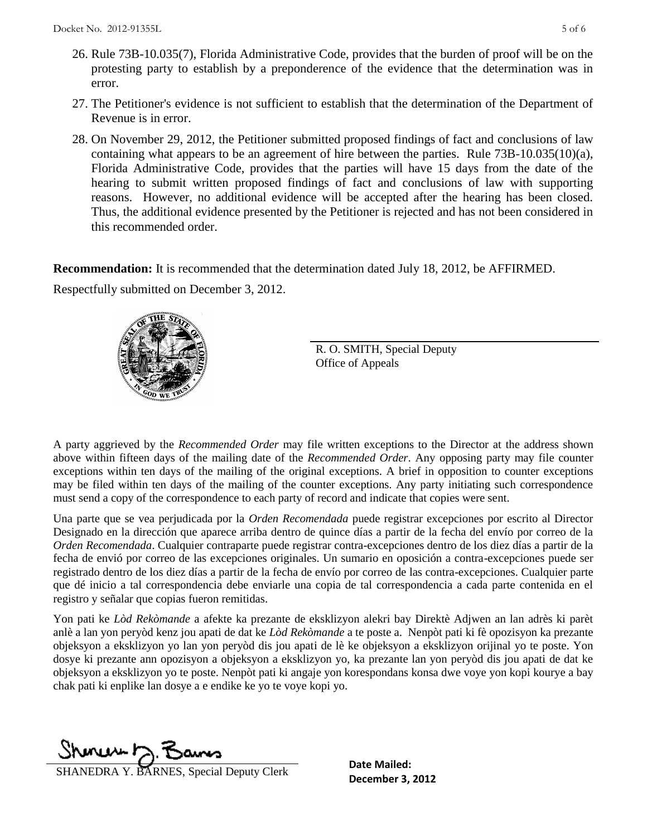- 27. The Petitioner's evidence is not sufficient to establish that the determination of the Department of Revenue is in error.
- 28. On November 29, 2012, the Petitioner submitted proposed findings of fact and conclusions of law containing what appears to be an agreement of hire between the parties. Rule 73B-10.035(10)(a), Florida Administrative Code, provides that the parties will have 15 days from the date of the hearing to submit written proposed findings of fact and conclusions of law with supporting reasons. However, no additional evidence will be accepted after the hearing has been closed. Thus, the additional evidence presented by the Petitioner is rejected and has not been considered in this recommended order.

**Recommendation:** It is recommended that the determination dated July 18, 2012, be AFFIRMED.

Respectfully submitted on December 3, 2012.



R. O. SMITH, Special Deputy Office of Appeals

A party aggrieved by the *Recommended Order* may file written exceptions to the Director at the address shown above within fifteen days of the mailing date of the *Recommended Order*. Any opposing party may file counter exceptions within ten days of the mailing of the original exceptions. A brief in opposition to counter exceptions may be filed within ten days of the mailing of the counter exceptions. Any party initiating such correspondence must send a copy of the correspondence to each party of record and indicate that copies were sent.

Una parte que se vea perjudicada por la *Orden Recomendada* puede registrar excepciones por escrito al Director Designado en la dirección que aparece arriba dentro de quince días a partir de la fecha del envío por correo de la *Orden Recomendada*. Cualquier contraparte puede registrar contra-excepciones dentro de los diez días a partir de la fecha de envió por correo de las excepciones originales. Un sumario en oposición a contra-excepciones puede ser registrado dentro de los diez días a partir de la fecha de envío por correo de las contra-excepciones. Cualquier parte que dé inicio a tal correspondencia debe enviarle una copia de tal correspondencia a cada parte contenida en el registro y señalar que copias fueron remitidas.

Yon pati ke *Lòd Rekòmande* a afekte ka prezante de eksklizyon alekri bay Direktè Adjwen an lan adrès ki parèt anlè a lan yon peryòd kenz jou apati de dat ke *Lòd Rekòmande* a te poste a. Nenpòt pati ki fè opozisyon ka prezante objeksyon a eksklizyon yo lan yon peryòd dis jou apati de lè ke objeksyon a eksklizyon orijinal yo te poste. Yon dosye ki prezante ann opozisyon a objeksyon a eksklizyon yo, ka prezante lan yon peryòd dis jou apati de dat ke objeksyon a eksklizyon yo te poste. Nenpòt pati ki angaje yon korespondans konsa dwe voye yon kopi kourye a bay chak pati ki enplike lan dosye a e endike ke yo te voye kopi yo.

munts.

**DECEMBER SHANEDRA Y. BARNES, Special Deputy Clerk** December 3, 2012

**Date Mailed:**